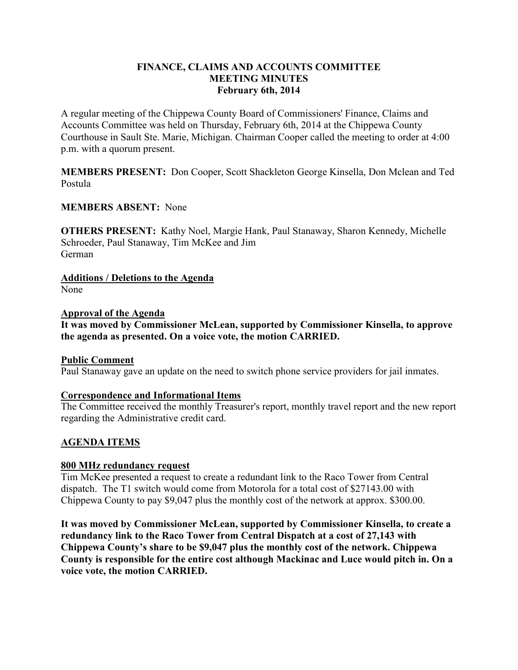## **FINANCE, CLAIMS AND ACCOUNTS COMMITTEE MEETING MINUTES February 6th, 2014**

A regular meeting of the Chippewa County Board of Commissioners' Finance, Claims and Accounts Committee was held on Thursday, February 6th, 2014 at the Chippewa County Courthouse in Sault Ste. Marie, Michigan. Chairman Cooper called the meeting to order at 4:00 p.m. with a quorum present.

**MEMBERS PRESENT:** Don Cooper, Scott Shackleton George Kinsella, Don Mclean and Ted Postula

## **MEMBERS ABSENT:** None

**OTHERS PRESENT:** Kathy Noel, Margie Hank, Paul Stanaway, Sharon Kennedy, Michelle Schroeder, Paul Stanaway, Tim McKee and Jim German

**Additions / Deletions to the Agenda**  None

### **Approval of the Agenda**

**It was moved by Commissioner McLean, supported by Commissioner Kinsella, to approve the agenda as presented. On a voice vote, the motion CARRIED.**

### **Public Comment**

Paul Stanaway gave an update on the need to switch phone service providers for jail inmates.

### **Correspondence and Informational Items**

The Committee received the monthly Treasurer's report, monthly travel report and the new report regarding the Administrative credit card.

### **AGENDA ITEMS**

#### **800 MHz redundancy request**

Tim McKee presented a request to create a redundant link to the Raco Tower from Central dispatch. The T1 switch would come from Motorola for a total cost of \$27143.00 with Chippewa County to pay \$9,047 plus the monthly cost of the network at approx. \$300.00.

**It was moved by Commissioner McLean, supported by Commissioner Kinsella, to create a redundancy link to the Raco Tower from Central Dispatch at a cost of 27,143 with Chippewa County's share to be \$9,047 plus the monthly cost of the network. Chippewa County is responsible for the entire cost although Mackinac and Luce would pitch in. On a voice vote, the motion CARRIED.**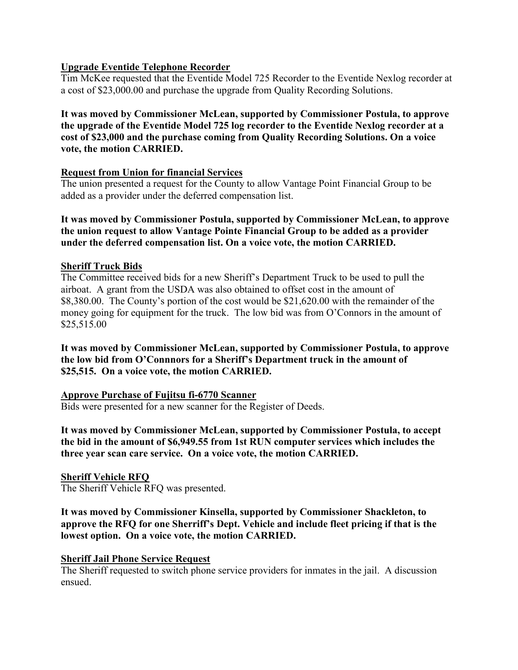## **Upgrade Eventide Telephone Recorder**

Tim McKee requested that the Eventide Model 725 Recorder to the Eventide Nexlog recorder at a cost of \$23,000.00 and purchase the upgrade from Quality Recording Solutions.

# **It was moved by Commissioner McLean, supported by Commissioner Postula, to approve the upgrade of the Eventide Model 725 log recorder to the Eventide Nexlog recorder at a cost of \$23,000 and the purchase coming from Quality Recording Solutions. On a voice vote, the motion CARRIED.**

### **Request from Union for financial Services**

The union presented a request for the County to allow Vantage Point Financial Group to be added as a provider under the deferred compensation list.

**It was moved by Commissioner Postula, supported by Commissioner McLean, to approve the union request to allow Vantage Pointe Financial Group to be added as a provider under the deferred compensation list. On a voice vote, the motion CARRIED.**

## **Sheriff Truck Bids**

The Committee received bids for a new Sheriff's Department Truck to be used to pull the airboat. A grant from the USDA was also obtained to offset cost in the amount of \$8,380.00. The County's portion of the cost would be \$21,620.00 with the remainder of the money going for equipment for the truck. The low bid was from O'Connors in the amount of \$25,515.00

**It was moved by Commissioner McLean, supported by Commissioner Postula, to approve the low bid from O'Connnors for a Sheriff's Department truck in the amount of \$25,515. On a voice vote, the motion CARRIED.**

### **Approve Purchase of Fujitsu fi-6770 Scanner**

Bids were presented for a new scanner for the Register of Deeds.

**It was moved by Commissioner McLean, supported by Commissioner Postula, to accept the bid in the amount of \$6,949.55 from 1st RUN computer services which includes the three year scan care service. On a voice vote, the motion CARRIED.**

### **Sheriff Vehicle RFQ**

The Sheriff Vehicle RFQ was presented.

**It was moved by Commissioner Kinsella, supported by Commissioner Shackleton, to approve the RFQ for one Sherriff's Dept. Vehicle and include fleet pricing if that is the lowest option. On a voice vote, the motion CARRIED.**

### **Sheriff Jail Phone Service Request**

The Sheriff requested to switch phone service providers for inmates in the jail. A discussion ensued.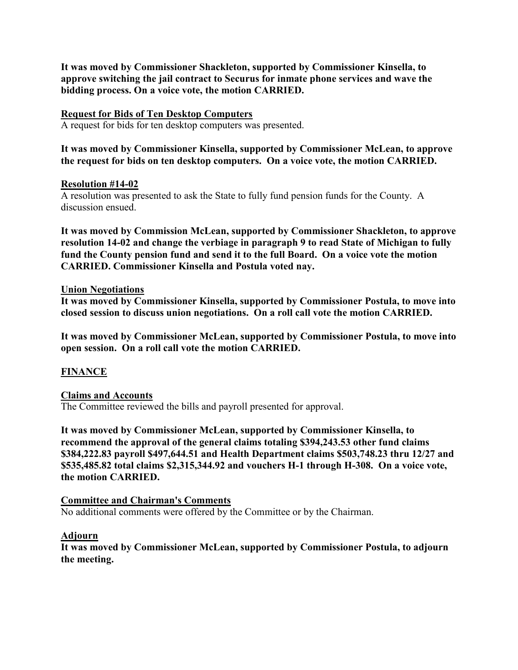**It was moved by Commissioner Shackleton, supported by Commissioner Kinsella, to approve switching the jail contract to Securus for inmate phone services and wave the bidding process. On a voice vote, the motion CARRIED.**

### **Request for Bids of Ten Desktop Computers**

A request for bids for ten desktop computers was presented.

**It was moved by Commissioner Kinsella, supported by Commissioner McLean, to approve the request for bids on ten desktop computers. On a voice vote, the motion CARRIED.**

### **Resolution #14-02**

A resolution was presented to ask the State to fully fund pension funds for the County. A discussion ensued.

**It was moved by Commission McLean, supported by Commissioner Shackleton, to approve resolution 14-02 and change the verbiage in paragraph 9 to read State of Michigan to fully fund the County pension fund and send it to the full Board. On a voice vote the motion CARRIED. Commissioner Kinsella and Postula voted nay.**

#### **Union Negotiations**

**It was moved by Commissioner Kinsella, supported by Commissioner Postula, to move into closed session to discuss union negotiations. On a roll call vote the motion CARRIED.** 

**It was moved by Commissioner McLean, supported by Commissioner Postula, to move into open session. On a roll call vote the motion CARRIED.**

# **FINANCE**

### **Claims and Accounts**

The Committee reviewed the bills and payroll presented for approval.

**It was moved by Commissioner McLean, supported by Commissioner Kinsella, to recommend the approval of the general claims totaling \$394,243.53 other fund claims \$384,222.83 payroll \$497,644.51 and Health Department claims \$503,748.23 thru 12/27 and \$535,485.82 total claims \$2,315,344.92 and vouchers H-1 through H-308. On a voice vote, the motion CARRIED.**

### **Committee and Chairman's Comments**

No additional comments were offered by the Committee or by the Chairman.

#### **Adjourn**

**It was moved by Commissioner McLean, supported by Commissioner Postula, to adjourn the meeting.**